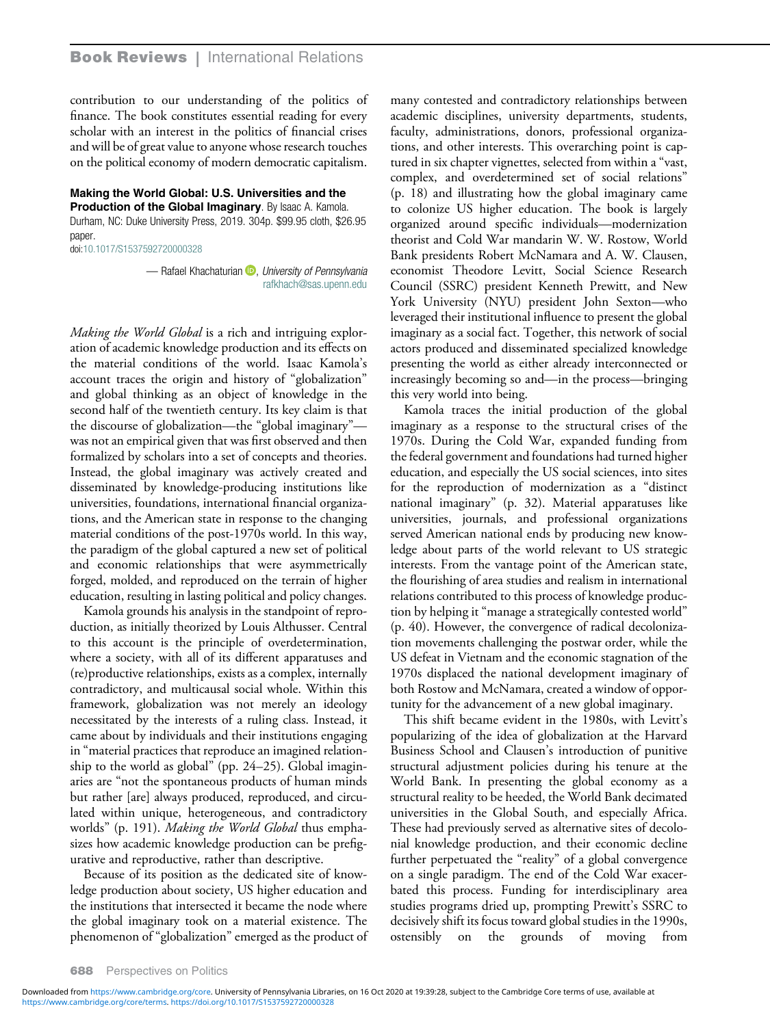contribution to our understanding of the politics of finance. The book constitutes essential reading for every scholar with an interest in the politics of financial crises and will be of great value to anyone whose research touches on the political economy of modern democratic capitalism.

## Making the World Global: U.S. Universities and the Production of the Global Imaginary. By Isaac A. Kamola.

Durham, NC: Duke University Press, 2019. 304p. \$99.95 cloth, \$26.95 paper.

doi[:10.1017/S1537592720000328](https://doi.org/10.1017/S1537592720000328)

— Rafael Khachaturian D[,](https://orcid.org/0000-0002-6053-0631) University of Pennsylvania [rafkhach@sas.upenn.edu](mailto:rafkhach@sas.upenn.edu)

Making the World Global is a rich and intriguing exploration of academic knowledge production and its effects on the material conditions of the world. Isaac Kamola's account traces the origin and history of "globalization" and global thinking as an object of knowledge in the second half of the twentieth century. Its key claim is that the discourse of globalization—the "global imaginary" was not an empirical given that was first observed and then formalized by scholars into a set of concepts and theories. Instead, the global imaginary was actively created and disseminated by knowledge-producing institutions like universities, foundations, international financial organizations, and the American state in response to the changing material conditions of the post-1970s world. In this way, the paradigm of the global captured a new set of political and economic relationships that were asymmetrically forged, molded, and reproduced on the terrain of higher education, resulting in lasting political and policy changes.

Kamola grounds his analysis in the standpoint of reproduction, as initially theorized by Louis Althusser. Central to this account is the principle of overdetermination, where a society, with all of its different apparatuses and (re)productive relationships, exists as a complex, internally contradictory, and multicausal social whole. Within this framework, globalization was not merely an ideology necessitated by the interests of a ruling class. Instead, it came about by individuals and their institutions engaging in "material practices that reproduce an imagined relationship to the world as global" (pp. 24–25). Global imaginaries are "not the spontaneous products of human minds but rather [are] always produced, reproduced, and circulated within unique, heterogeneous, and contradictory worlds" (p. 191). Making the World Global thus emphasizes how academic knowledge production can be prefigurative and reproductive, rather than descriptive.

Because of its position as the dedicated site of knowledge production about society, US higher education and the institutions that intersected it became the node where the global imaginary took on a material existence. The phenomenon of "globalization" emerged as the product of many contested and contradictory relationships between academic disciplines, university departments, students, faculty, administrations, donors, professional organizations, and other interests. This overarching point is captured in six chapter vignettes, selected from within a "vast, complex, and overdetermined set of social relations" (p. 18) and illustrating how the global imaginary came to colonize US higher education. The book is largely organized around specific individuals—modernization theorist and Cold War mandarin W. W. Rostow, World Bank presidents Robert McNamara and A. W. Clausen, economist Theodore Levitt, Social Science Research Council (SSRC) president Kenneth Prewitt, and New York University (NYU) president John Sexton—who leveraged their institutional influence to present the global imaginary as a social fact. Together, this network of social actors produced and disseminated specialized knowledge presenting the world as either already interconnected or increasingly becoming so and—in the process—bringing this very world into being.

Kamola traces the initial production of the global imaginary as a response to the structural crises of the 1970s. During the Cold War, expanded funding from the federal government and foundations had turned higher education, and especially the US social sciences, into sites for the reproduction of modernization as a "distinct national imaginary" (p. 32). Material apparatuses like universities, journals, and professional organizations served American national ends by producing new knowledge about parts of the world relevant to US strategic interests. From the vantage point of the American state, the flourishing of area studies and realism in international relations contributed to this process of knowledge production by helping it "manage a strategically contested world" (p. 40). However, the convergence of radical decolonization movements challenging the postwar order, while the US defeat in Vietnam and the economic stagnation of the 1970s displaced the national development imaginary of both Rostow and McNamara, created a window of opportunity for the advancement of a new global imaginary.

This shift became evident in the 1980s, with Levitt's popularizing of the idea of globalization at the Harvard Business School and Clausen's introduction of punitive structural adjustment policies during his tenure at the World Bank. In presenting the global economy as a structural reality to be heeded, the World Bank decimated universities in the Global South, and especially Africa. These had previously served as alternative sites of decolonial knowledge production, and their economic decline further perpetuated the "reality" of a global convergence on a single paradigm. The end of the Cold War exacerbated this process. Funding for interdisciplinary area studies programs dried up, prompting Prewitt's SSRC to decisively shift its focus toward global studies in the 1990s, ostensibly on the grounds of moving from